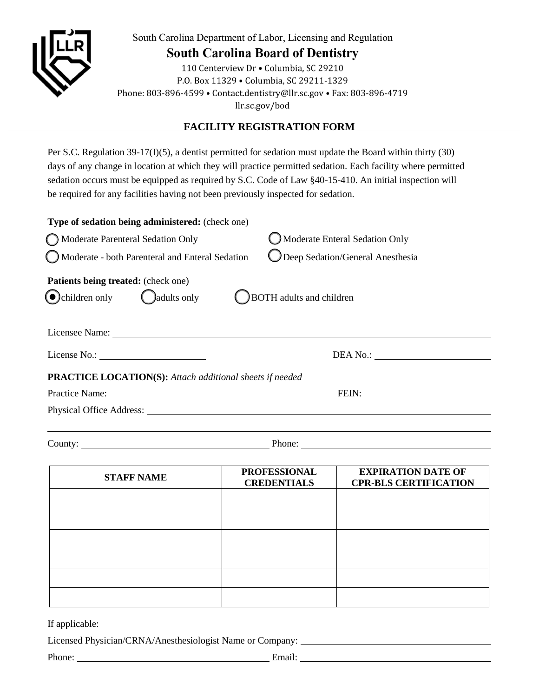

South Carolina Department of Labor, Licensing and Regulation

## **South Carolina Board of Dentistry**

110 Centerview Dr . Columbia, SC 29210 P.O. Box 11329 . Columbia, SC 29211-1329 Phone: 803-896-4599 • Contact.dentistry@llr.sc.gov • Fax: 803-896-4719 llr.sc.gov/bod

## **FACILITY REGISTRATION FORM**

Per S.C. Regulation 39-17(I)(5), a dentist permitted for sedation must update the Board within thirty (30) days of any change in location at which they will practice permitted sedation. Each facility where permitted sedation occurs must be equipped as required by S.C. Code of Law §40-15-410. An initial inspection will be required for any facilities having not been previously inspected for sedation.

| Type of sedation being administered: (check one)                                       |                                           |
|----------------------------------------------------------------------------------------|-------------------------------------------|
| Moderate Parenteral Sedation Only                                                      | Moderate Enteral Sedation Only            |
| Moderate - both Parenteral and Enteral Sedation                                        | O Deep Sedation/General Anesthesia        |
| Patients being treated: (check one)<br>$\bigodot$ children only $\bigodot$ adults only | <b>BOTH</b> adults and children           |
|                                                                                        |                                           |
|                                                                                        |                                           |
| <b>PRACTICE LOCATION(S):</b> Attach additional sheets if needed                        |                                           |
|                                                                                        |                                           |
|                                                                                        |                                           |
|                                                                                        |                                           |
|                                                                                        | THE PERMIT CHARGE OF THE PERMIT CHARGE OF |

| <b>STAFF NAME</b> | <b>PROFESSIONAL</b><br><b>CREDENTIALS</b> | <b>EXPIRATION DATE OF</b><br><b>CPR-BLS CERTIFICATION</b> |
|-------------------|-------------------------------------------|-----------------------------------------------------------|
|                   |                                           |                                                           |
|                   |                                           |                                                           |
|                   |                                           |                                                           |
|                   |                                           |                                                           |
|                   |                                           |                                                           |
|                   |                                           |                                                           |

If applicable:

Licensed Physician/CRNA/Anesthesiologist Name or Company:

Phone: Email: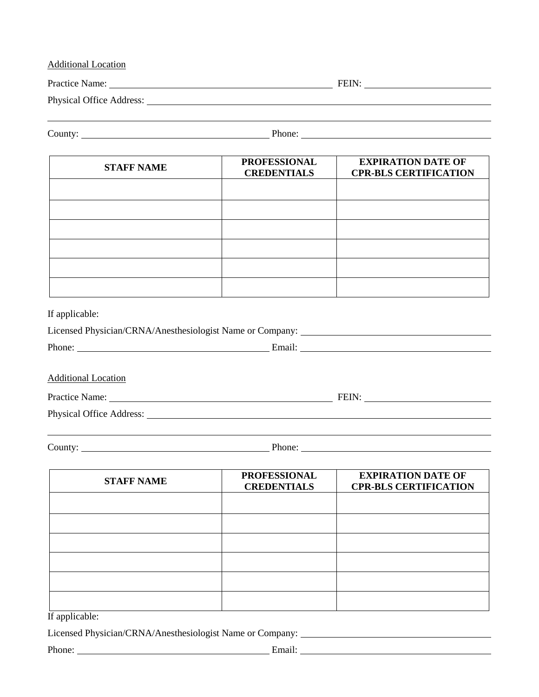| <b>Additional Location</b> |                                           |                                                           |  |
|----------------------------|-------------------------------------------|-----------------------------------------------------------|--|
|                            |                                           |                                                           |  |
|                            |                                           |                                                           |  |
|                            |                                           | Phone: $\overline{\phantom{a} \phantom{a} \phantom{a}}$   |  |
| <b>STAFF NAME</b>          | <b>PROFESSIONAL</b><br><b>CREDENTIALS</b> | <b>EXPIRATION DATE OF</b><br><b>CPR-BLS CERTIFICATION</b> |  |
|                            |                                           |                                                           |  |
|                            |                                           |                                                           |  |
|                            |                                           |                                                           |  |

If applicable:

| Licensed Physician/CRNA/Anesthesiologist Name or Company: |        |  |
|-----------------------------------------------------------|--------|--|
| Phone:                                                    | Email: |  |

Additional Location

Practice Name: FEIN:

Physical Office Address:

County: Phone: Phone: Phone: Phone: Phone: Phone: Phone: Phone: Phone: Phone: Phone: Phone: Phone: Phone: Phone: Phone: Phone: Phone: Phone: Phone: Phone: Phone: Phone: Phone: Phone: Phone: Phone: Phone: Phone: Phone: Phon

| <b>STAFF NAME</b> | <b>PROFESSIONAL</b><br><b>CREDENTIALS</b> | <b>EXPIRATION DATE OF</b><br><b>CPR-BLS CERTIFICATION</b> |
|-------------------|-------------------------------------------|-----------------------------------------------------------|
|                   |                                           |                                                           |
|                   |                                           |                                                           |
|                   |                                           |                                                           |
|                   |                                           |                                                           |
|                   |                                           |                                                           |
|                   |                                           |                                                           |

If applicable:

Licensed Physician/CRNA/Anesthesiologist Name or Company: